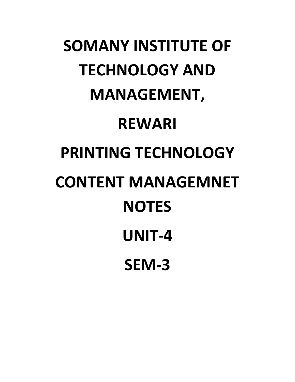# **SOMANY INSTITUTE OF TECHNOLOGY AND MANAGEMENT, REWARI PRINTING TECHNOLOGY CONTENT MANAGEMNET NOTES UNIT-4 SEM-3**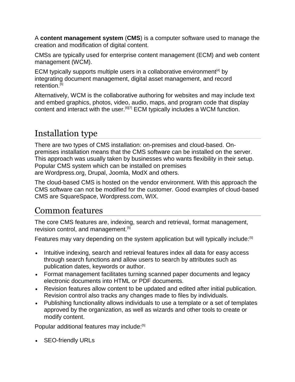A **content management system** (**CMS**) is a computer software used to manage the creation and modification of digital content.

CMSs are typically used for [enterprise content management](https://en.wikipedia.org/wiki/Enterprise_content_management) (ECM) and [web content](https://en.wikipedia.org/wiki/Web_content_management_system)  [management](https://en.wikipedia.org/wiki/Web_content_management_system) (WCM).

ECM typically supports multiple users in a [collaborative environment](https://en.wikipedia.org/wiki/Collaborative_software)<sup>[\[4\]](https://en.wikipedia.org/wiki/Collaborative_software)</sup> by integrating [document management,](https://en.wikipedia.org/wiki/Document_management_system) [digital asset management,](https://en.wikipedia.org/wiki/Digital_asset_management) and record retention.<sup>[\[5\]](https://en.wikipedia.org/wiki/Content_management_system#cite_note-techtarget-5)</sup>

Alternatively, WCM is the collaborative authoring for websites and may include text and embed graphics, photos, video, audio, maps, and program code that display content and interact with the user[.](https://en.wikipedia.org/wiki/Content_management_system#cite_note-6)<sup>[\[6\]\[7\]](https://en.wikipedia.org/wiki/Content_management_system#cite_note-6)</sup> ECM typically includes a WCM function.

## Installation type

There are two types of CMS installation: on-premises and cloud-based. Onpremises installation means that the CMS software can be installed on the server. This approach was usually taken by businesses who wants flexibility in their setup. Popular CMS system which can be installed on premises are [Wordpress.org,](https://en.wikipedia.org/wiki/WordPress) [Drupal,](https://en.wikipedia.org/wiki/Drupal) [Joomla,](https://en.wikipedia.org/wiki/Joomla) [ModX](https://en.wikipedia.org/wiki/Modxcms) and others.

The cloud-based CMS is hosted on the vendor environment. With this approach the CMS software can not be modified for the customer. Good examples of cloud-based CMS are [SquareSpace,](https://en.wikipedia.org/wiki/Squarespace) [Wordpress.com,](https://en.wikipedia.org/wiki/WordPress.com) [WIX.](https://en.wikipedia.org/wiki/Wix.com)

## Common features

The core CMS features are, indexing, search and retrieval, format management, revision control, and management.<sup>[\[5\]](https://en.wikipedia.org/wiki/Content_management_system#cite_note-techtarget-5)</sup>

Features may vary depending on the system application but will typically include:<sup>[\[5\]](https://en.wikipedia.org/wiki/Content_management_system#cite_note-techtarget-5)</sup>

- Intuitive indexing, search and retrieval features index all data for easy access through search functions and allow users to search by attributes such as publication dates, keywords or author.
- Format management facilitates turning scanned paper documents and legacy electronic documents into HTML or PDF documents.
- Revision features allow content to be updated and edited after initial publication. Revision control also tracks any changes made to files by individuals.
- Publishing functionality allows individuals to use a template or a set of templates approved by the organization, as well as wizards and other tools to create or modify content.

Popular additional features may include:<sup>[\[5\]](https://en.wikipedia.org/wiki/Content_management_system#cite_note-techtarget-5)</sup>

• [SEO-](https://en.wikipedia.org/wiki/Search_engine_optimization)friendly URLs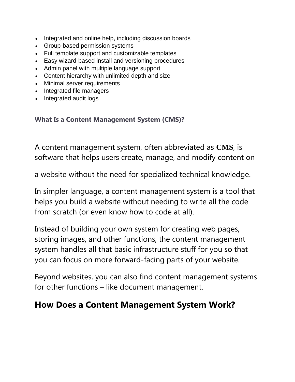- Integrated and [online help,](https://en.wikipedia.org/wiki/Online_help) including [discussion boards](https://en.wikipedia.org/wiki/Internet_forum)
- Group-based permission systems
- Full template support and customizable templates
- Easy wizard-based install and versioning procedures
- Admin panel with multiple language support
- Content hierarchy with unlimited depth and size
- Minimal server requirements
- Integrated file managers
- Integrated audit logs

#### **What Is a Content Management System (CMS)?**

A content management system, often abbreviated as **CMS**, is software that helps users create, manage, and modify content on

a website without the need for specialized technical knowledge.

In simpler language, a content management system is a tool that helps you build a website without needing to write all the code from scratch (or even know how to code at all).

Instead of building your own system for creating web pages, storing images, and other functions, the content management system handles all that basic infrastructure stuff for you so that you can focus on more forward-facing parts of your website.

Beyond websites, you can also find content management systems for other functions – like document management.

## **How Does a Content Management System Work?**